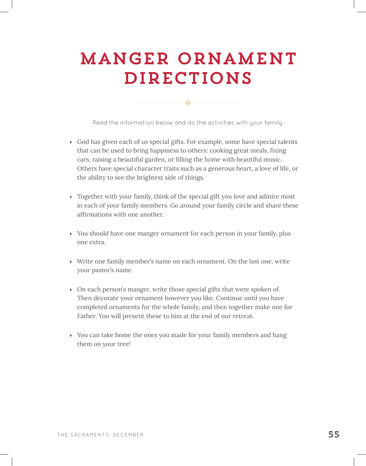## Manger Ornament Directions

Read the information below and do the activities with your family.

- $\rightarrow$  God has given each of us special gifts. For example, some have special talents that can be used to bring happiness to others: cooking great meals, fixing cars, raising a beautiful garden, or filling the home with beautiful music. Others have special character traits such as a generous heart, a love of life, or the ability to see the brightest side of things.
- Together with your family, think of the special gift you love and admire most in each of your family members. Go around your family circle and share these affirmations with one another.
- ӹ You should have one manger ornament for each person in your family, plus one extra.
- ӹ Write one family member's name on each ornament. On the last one, write your pastor's name.
- $\rightarrow$  On each person's manger, write those special gifts that were spoken of. Then decorate your ornament however you like. Continue until you have completed ornaments for the whole family, and then together make one for Father. You will present these to him at the end of our retreat.
- ▶ You can take home the ones you made for your family members and hang them on your tree!